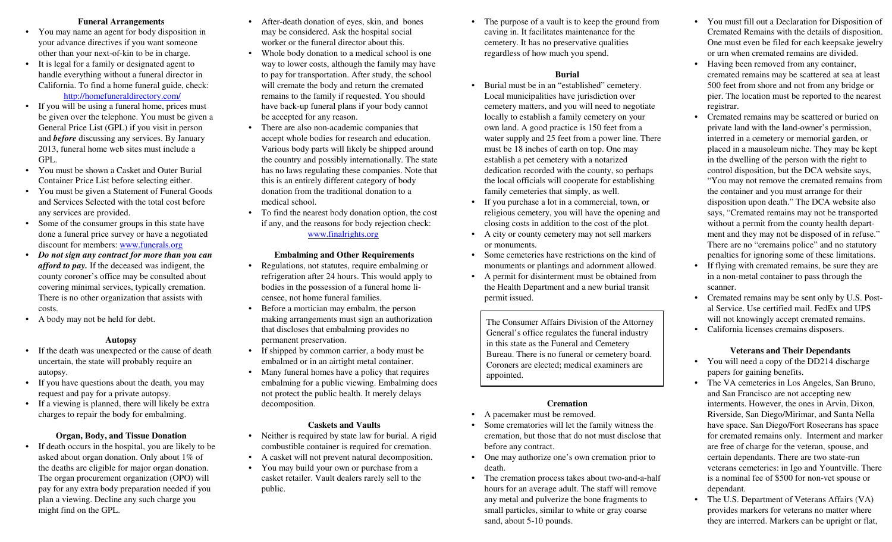### **Funeral Arrangements**

- You may name an agent for body disposition in your advance directives if you want someone other than your next-of-kin to be in charge.
- It is legal for a family or designated agent to handle everything without a funeral director in California. To find a home funeral guide, check: http://homefuneraldirectory.com/
- If you will be using a funeral home, prices must be given over the telephone. You must be given a General Price List (GPL) if you visit in person and *before* discussing any services. By January 2013, funeral home web sites must include a GPL.
- You must be shown a Casket and Outer Burial Container Price List before selecting either.
- You must be given a Statement of Funeral Goods and Services Selected with the total cost before any services are provided.
- Some of the consumer groups in this state have done a funeral price survey or have a negotiated discount for members: www.funerals.org
- *Do not sign any contract for more than you can afford to pay.* If the deceased was indigent, the county coroner's office may be consulted about covering minimal services, typically cremation. There is no other organization that assists with costs.
- A body may not be held for debt.

## **Autopsy**

- If the death was unexpected or the cause of death uncertain, the state will probably require an autopsy.
- If you have questions about the death, you may request and pay for a private autopsy.
- If a viewing is planned, there will likely be extra charges to repair the body for embalming.

## **Organ, Body, and Tissue Donation**

• If death occurs in the hospital, you are likely to be asked about organ donation. Only about 1% of the deaths are eligible for major organ donation. The organ procurement organization (OPO) will pay for any extra body preparation needed if you plan a viewing. Decline any such charge you might find on the GPL.

- After-death donation of eyes, skin, and bones may be considered. Ask the hospital social worker or the funeral director about this.
- Whole body donation to a medical school is one way to lower costs, although the family may have to pay for transportation. After study, the school will cremate the body and return the cremated remains to the family if requested. You should have back-up funeral plans if your body cannot be accepted for any reason.
- There are also non-academic companies that accept whole bodies for research and education. Various body parts will likely be shipped around the country and possibly internationally. The state has no laws regulating these companies. Note that this is an entirely different category of body donation from the traditional donation to a medical school.
- To find the nearest body donation option, the cost if any, and the reasons for body rejection check: www.finalrights.org

## **Embalming and Other Requirements**

- Regulations, not statutes, require embalming or refrigeration after 24 hours. This would apply to bodies in the possession of a funeral home licensee, not home funeral families.
- Before a mortician may embalm, the person making arrangements must sign an authorization that discloses that embalming provides no permanent preservation.
- If shipped by common carrier, a body must be embalmed or in an airtight metal container.
- Many funeral homes have a policy that requires embalming for a public viewing. Embalming does not protect the public health. It merely delays decomposition.

## **Caskets and Vaults**

- Neither is required by state law for burial. A rigid combustible container is required for cremation.
- A casket will not prevent natural decomposition.
- You may build your own or purchase from a casket retailer. Vault dealers rarely sell to the public.

The purpose of a vault is to keep the ground from caving in. It facilitates maintenance for the cemetery. It has no preservative qualities regardless of how much you spend.

## **Burial**

- Burial must be in an "established" cemetery. Local municipalities have jurisdiction over cemetery matters, and you will need to negotiate locally to establish a family cemetery on your own land. A good practice is 150 feet from a water supply and 25 feet from a power line. There must be 18 inches of earth on top. One may establish a pet cemetery with a notarized dedication recorded with the county, so perhaps the local officials will cooperate for establishing family cemeteries that simply, as well.
- If you purchase a lot in a commercial, town, or religious cemetery, you will have the opening and closing costs in addition to the cost of the plot.
- A city or county cemetery may not sell markers or monuments.
- Some cemeteries have restrictions on the kind of monuments or plantings and adornment allowed.
- A permit for disinterment must be obtained from the Health Department and a new burial transit permit issued.

The Consumer Affairs Division of the Attorney General's office regulates the funeral industry in this state as the Funeral and Cemetery Bureau. There is no funeral or cemetery board. Coroners are elected; medical examiners are appointed.

## **Cremation**

- A pacemaker must be removed.
- Some crematories will let the family witness the cremation, but those that do not must disclose that before any contract.
- One may authorize one's own cremation prior to death.
- The cremation process takes about two-and-a-half hours for an average adult. The staff will remove any metal and pulverize the bone fragments to small particles, similar to white or gray coarse sand, about 5-10 pounds.
- You must fill out a Declaration for Disposition of Cremated Remains with the details of disposition. One must even be filed for each keepsake jewelry or urn when cremated remains are divided.
- Having been removed from any container, cremated remains may be scattered at sea at least 500 feet from shore and not from any bridge or pier. The location must be reported to the nearest registrar.
- Cremated remains may be scattered or buried on private land with the land-owner's permission, interred in a cemetery or memorial garden, or placed in a mausoleum niche. They may be kept in the dwelling of the person with the right to control disposition, but the DCA website says, "You may not remove the cremated remains from the container and you must arrange for their disposition upon death." The DCA website also says, "Cremated remains may not be transported without a permit from the county health department and they may not be disposed of in refuse." There are no "cremains police" and no statutory penalties for ignoring some of these limitations.
- If flying with cremated remains, be sure they are in a non-metal container to pass through the scanner.
- Cremated remains may be sent only by U.S. Postal Service. Use certified mail. FedEx and UPS will not knowingly accept cremated remains.
- California licenses cremains disposers.

# **Veterans and Their Dependants**

- You will need a copy of the DD214 discharge papers for gaining benefits.
- The VA cemeteries in Los Angeles, San Bruno, and San Francisco are not accepting new interments. However, the ones in Arvin, Dixon, Riverside, San Diego/Mirimar, and Santa Nella have space. San Diego/Fort Rosecrans has space for cremated remains only. Interment and marker are free of charge for the veteran, spouse, and certain dependants. There are two state-run veterans cemeteries: in Igo and Yountville. There is a nominal fee of \$500 for non-vet spouse or dependant.
- The U.S. Department of Veterans Affairs (VA) provides markers for veterans no matter where they are interred. Markers can be upright or flat,